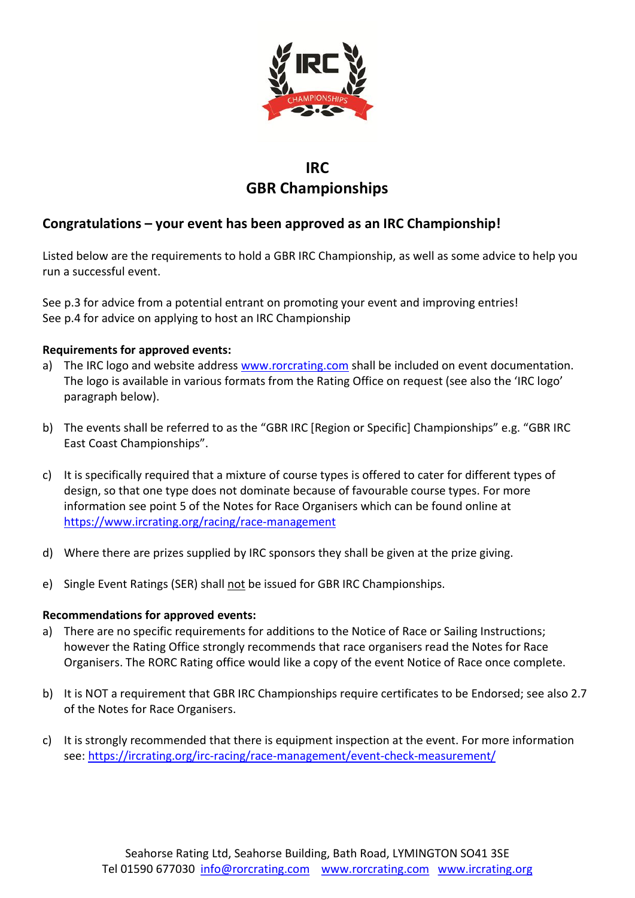

## IRC GBR Championships

## Congratulations – your event has been approved as an IRC Championship!

Listed below are the requirements to hold a GBR IRC Championship, as well as some advice to help you run a successful event.

See p.3 for advice from a potential entrant on promoting your event and improving entries! See p.4 for advice on applying to host an IRC Championship

#### Requirements for approved events:

- a) The IRC logo and website address www.rorcrating.com shall be included on event documentation. The logo is available in various formats from the Rating Office on request (see also the 'IRC logo' paragraph below).
- b) The events shall be referred to as the "GBR IRC [Region or Specific] Championships" e.g. "GBR IRC East Coast Championships".
- c) It is specifically required that a mixture of course types is offered to cater for different types of design, so that one type does not dominate because of favourable course types. For more information see point 5 of the Notes for Race Organisers which can be found online at https://www.ircrating.org/racing/race-management
- d) Where there are prizes supplied by IRC sponsors they shall be given at the prize giving.
- e) Single Event Ratings (SER) shall not be issued for GBR IRC Championships.

#### Recommendations for approved events:

- a) There are no specific requirements for additions to the Notice of Race or Sailing Instructions; however the Rating Office strongly recommends that race organisers read the Notes for Race Organisers. The RORC Rating office would like a copy of the event Notice of Race once complete.
- b) It is NOT a requirement that GBR IRC Championships require certificates to be Endorsed; see also 2.7 of the Notes for Race Organisers.
- c) It is strongly recommended that there is equipment inspection at the event. For more information see: https://ircrating.org/irc-racing/race-management/event-check-measurement/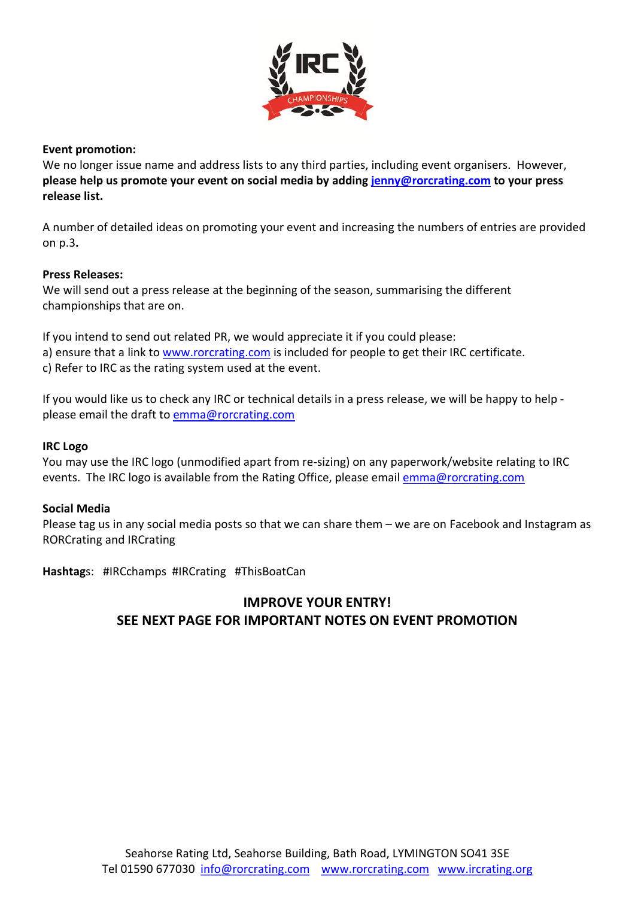

#### Event promotion:

We no longer issue name and address lists to any third parties, including event organisers. However, please help us promote your event on social media by adding jenny@rorcrating.com to your press release list.

A number of detailed ideas on promoting your event and increasing the numbers of entries are provided on p.3.

#### Press Releases:

We will send out a press release at the beginning of the season, summarising the different championships that are on.

If you intend to send out related PR, we would appreciate it if you could please: a) ensure that a link to www.rorcrating.com is included for people to get their IRC certificate.

c) Refer to IRC as the rating system used at the event.

If you would like us to check any IRC or technical details in a press release, we will be happy to help please email the draft to emma@rorcrating.com

#### IRC Logo

You may use the IRC logo (unmodified apart from re-sizing) on any paperwork/website relating to IRC events. The IRC logo is available from the Rating Office, please email emma@rorcrating.com

#### Social Media

Please tag us in any social media posts so that we can share them – we are on Facebook and Instagram as RORCrating and IRCrating

Hashtags: #IRCchamps #IRCrating #ThisBoatCan

## IMPROVE YOUR ENTRY! SEE NEXT PAGE FOR IMPORTANT NOTES ON EVENT PROMOTION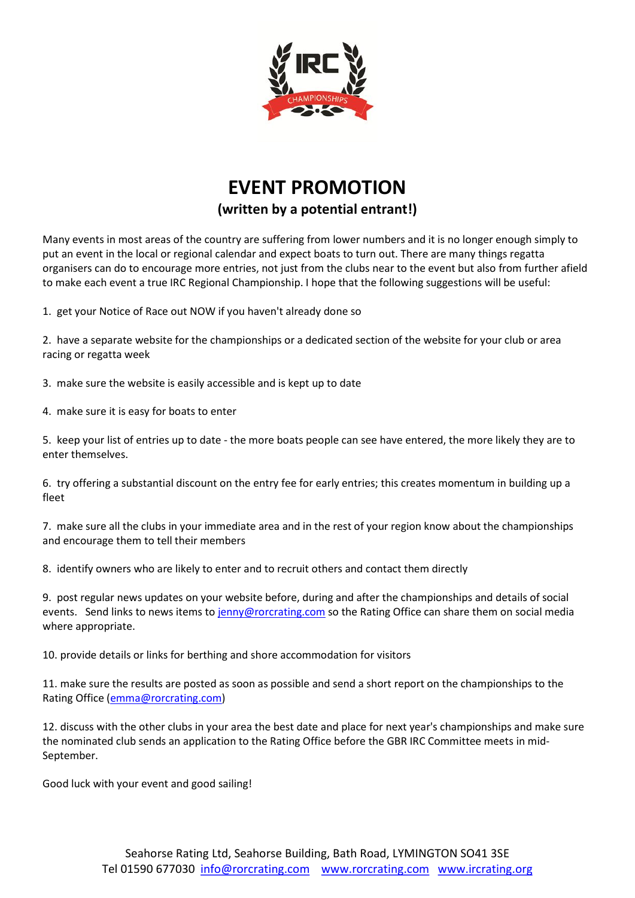

# EVENT PROMOTION (written by a potential entrant!)

Many events in most areas of the country are suffering from lower numbers and it is no longer enough simply to put an event in the local or regional calendar and expect boats to turn out. There are many things regatta organisers can do to encourage more entries, not just from the clubs near to the event but also from further afield to make each event a true IRC Regional Championship. I hope that the following suggestions will be useful:

1. get your Notice of Race out NOW if you haven't already done so

2. have a separate website for the championships or a dedicated section of the website for your club or area racing or regatta week

3. make sure the website is easily accessible and is kept up to date

4. make sure it is easy for boats to enter

5. keep your list of entries up to date - the more boats people can see have entered, the more likely they are to enter themselves.

6. try offering a substantial discount on the entry fee for early entries; this creates momentum in building up a fleet

7. make sure all the clubs in your immediate area and in the rest of your region know about the championships and encourage them to tell their members

8. identify owners who are likely to enter and to recruit others and contact them directly

9. post regular news updates on your website before, during and after the championships and details of social events. Send links to news items to jenny@rorcrating.com so the Rating Office can share them on social media where appropriate.

10. provide details or links for berthing and shore accommodation for visitors

11. make sure the results are posted as soon as possible and send a short report on the championships to the Rating Office (emma@rorcrating.com)

12. discuss with the other clubs in your area the best date and place for next year's championships and make sure the nominated club sends an application to the Rating Office before the GBR IRC Committee meets in mid-September.

Good luck with your event and good sailing!